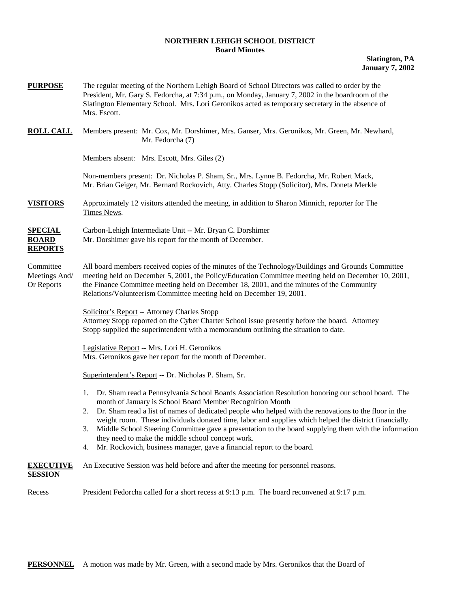## **NORTHERN LEHIGH SCHOOL DISTRICT Board Minutes**

**Slatington, PA January 7, 2002** 

| <b>PURPOSE</b>                                   | The regular meeting of the Northern Lehigh Board of School Directors was called to order by the<br>President, Mr. Gary S. Fedorcha, at 7:34 p.m., on Monday, January 7, 2002 in the boardroom of the<br>Slatington Elementary School. Mrs. Lori Geronikos acted as temporary secretary in the absence of<br>Mrs. Escott.                                                                                                                                                                                                                                                                                                                         |  |  |  |
|--------------------------------------------------|--------------------------------------------------------------------------------------------------------------------------------------------------------------------------------------------------------------------------------------------------------------------------------------------------------------------------------------------------------------------------------------------------------------------------------------------------------------------------------------------------------------------------------------------------------------------------------------------------------------------------------------------------|--|--|--|
| <b>ROLL CALL</b>                                 | Members present: Mr. Cox, Mr. Dorshimer, Mrs. Ganser, Mrs. Geronikos, Mr. Green, Mr. Newhard,<br>Mr. Fedorcha (7)                                                                                                                                                                                                                                                                                                                                                                                                                                                                                                                                |  |  |  |
|                                                  | Members absent: Mrs. Escott, Mrs. Giles (2)                                                                                                                                                                                                                                                                                                                                                                                                                                                                                                                                                                                                      |  |  |  |
|                                                  | Non-members present: Dr. Nicholas P. Sham, Sr., Mrs. Lynne B. Fedorcha, Mr. Robert Mack,<br>Mr. Brian Geiger, Mr. Bernard Rockovich, Atty. Charles Stopp (Solicitor), Mrs. Doneta Merkle                                                                                                                                                                                                                                                                                                                                                                                                                                                         |  |  |  |
| <b>VISITORS</b>                                  | Approximately 12 visitors attended the meeting, in addition to Sharon Minnich, reporter for The<br>Times News.                                                                                                                                                                                                                                                                                                                                                                                                                                                                                                                                   |  |  |  |
| <b>SPECIAL</b><br><b>BOARD</b><br><b>REPORTS</b> | Carbon-Lehigh Intermediate Unit -- Mr. Bryan C. Dorshimer<br>Mr. Dorshimer gave his report for the month of December.                                                                                                                                                                                                                                                                                                                                                                                                                                                                                                                            |  |  |  |
| Committee<br>Meetings And/<br>Or Reports         | All board members received copies of the minutes of the Technology/Buildings and Grounds Committee<br>meeting held on December 5, 2001, the Policy/Education Committee meeting held on December 10, 2001,<br>the Finance Committee meeting held on December 18, 2001, and the minutes of the Community<br>Relations/Volunteerism Committee meeting held on December 19, 2001.                                                                                                                                                                                                                                                                    |  |  |  |
|                                                  | Solicitor's Report -- Attorney Charles Stopp<br>Attorney Stopp reported on the Cyber Charter School issue presently before the board. Attorney<br>Stopp supplied the superintendent with a memorandum outlining the situation to date.                                                                                                                                                                                                                                                                                                                                                                                                           |  |  |  |
|                                                  | Legislative Report -- Mrs. Lori H. Geronikos<br>Mrs. Geronikos gave her report for the month of December.                                                                                                                                                                                                                                                                                                                                                                                                                                                                                                                                        |  |  |  |
|                                                  | Superintendent's Report -- Dr. Nicholas P. Sham, Sr.                                                                                                                                                                                                                                                                                                                                                                                                                                                                                                                                                                                             |  |  |  |
|                                                  | Dr. Sham read a Pennsylvania School Boards Association Resolution honoring our school board. The<br>1.<br>month of January is School Board Member Recognition Month<br>Dr. Sham read a list of names of dedicated people who helped with the renovations to the floor in the<br>2.<br>weight room. These individuals donated time, labor and supplies which helped the district financially.<br>Middle School Steering Committee gave a presentation to the board supplying them with the information<br>3.<br>they need to make the middle school concept work.<br>Mr. Rockovich, business manager, gave a financial report to the board.<br>4. |  |  |  |
| <b>EXECUTIVE</b>                                 | An Executive Session was held before and after the meeting for personnel reasons.                                                                                                                                                                                                                                                                                                                                                                                                                                                                                                                                                                |  |  |  |

**SESSION**

Recess President Fedorcha called for a short recess at 9:13 p.m. The board reconvened at 9:17 p.m.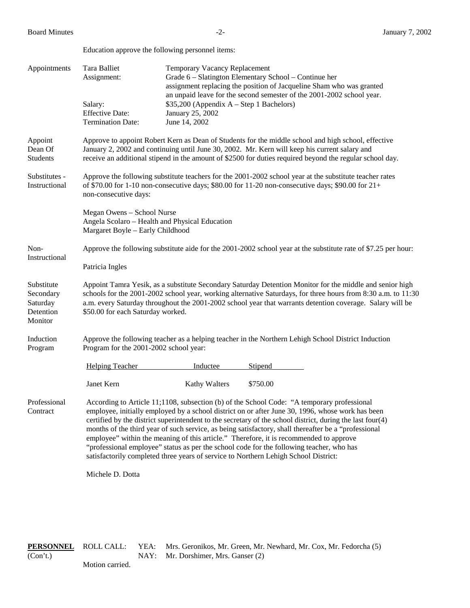Education approve the following personnel items:

| Appointments                                                | Tara Balliet<br>Assignment:<br>Salary:<br><b>Effective Date:</b><br><b>Termination Date:</b>                                                                                                                                                                                                                                                                                | Temporary Vacancy Replacement<br>$$35,200$ (Appendix A – Step 1 Bachelors)<br>January 25, 2002<br>June 14, 2002 | Grade 6 - Slatington Elementary School - Continue her<br>assignment replacing the position of Jacqueline Sham who was granted<br>an unpaid leave for the second semester of the 2001-2002 school year.                                                                                                                                                                                                                                                                                                                                                                                                                                                                                           |  |  |  |
|-------------------------------------------------------------|-----------------------------------------------------------------------------------------------------------------------------------------------------------------------------------------------------------------------------------------------------------------------------------------------------------------------------------------------------------------------------|-----------------------------------------------------------------------------------------------------------------|--------------------------------------------------------------------------------------------------------------------------------------------------------------------------------------------------------------------------------------------------------------------------------------------------------------------------------------------------------------------------------------------------------------------------------------------------------------------------------------------------------------------------------------------------------------------------------------------------------------------------------------------------------------------------------------------------|--|--|--|
| Appoint<br>Dean Of<br>Students                              | Approve to appoint Robert Kern as Dean of Students for the middle school and high school, effective<br>January 2, 2002 and continuing until June 30, 2002. Mr. Kern will keep his current salary and<br>receive an additional stipend in the amount of \$2500 for duties required beyond the regular school day.                                                            |                                                                                                                 |                                                                                                                                                                                                                                                                                                                                                                                                                                                                                                                                                                                                                                                                                                  |  |  |  |
| Substitutes -<br>Instructional                              | Approve the following substitute teachers for the 2001-2002 school year at the substitute teacher rates<br>of \$70.00 for 1-10 non-consecutive days; \$80.00 for 11-20 non-consecutive days; \$90.00 for $21+$<br>non-consecutive days:                                                                                                                                     |                                                                                                                 |                                                                                                                                                                                                                                                                                                                                                                                                                                                                                                                                                                                                                                                                                                  |  |  |  |
|                                                             | Megan Owens - School Nurse<br>Angela Scolaro - Health and Physical Education<br>Margaret Boyle - Early Childhood                                                                                                                                                                                                                                                            |                                                                                                                 |                                                                                                                                                                                                                                                                                                                                                                                                                                                                                                                                                                                                                                                                                                  |  |  |  |
| Non-                                                        | Approve the following substitute aide for the 2001-2002 school year at the substitute rate of \$7.25 per hour:                                                                                                                                                                                                                                                              |                                                                                                                 |                                                                                                                                                                                                                                                                                                                                                                                                                                                                                                                                                                                                                                                                                                  |  |  |  |
| Instructional                                               | Patricia Ingles                                                                                                                                                                                                                                                                                                                                                             |                                                                                                                 |                                                                                                                                                                                                                                                                                                                                                                                                                                                                                                                                                                                                                                                                                                  |  |  |  |
| Substitute<br>Secondary<br>Saturday<br>Detention<br>Monitor | Appoint Tamra Yesik, as a substitute Secondary Saturday Detention Monitor for the middle and senior high<br>schools for the 2001-2002 school year, working alternative Saturdays, for three hours from 8:30 a.m. to 11:30<br>a.m. every Saturday throughout the 2001-2002 school year that warrants detention coverage. Salary will be<br>\$50.00 for each Saturday worked. |                                                                                                                 |                                                                                                                                                                                                                                                                                                                                                                                                                                                                                                                                                                                                                                                                                                  |  |  |  |
| Induction<br>Program                                        | Approve the following teacher as a helping teacher in the Northern Lehigh School District Induction<br>Program for the 2001-2002 school year:                                                                                                                                                                                                                               |                                                                                                                 |                                                                                                                                                                                                                                                                                                                                                                                                                                                                                                                                                                                                                                                                                                  |  |  |  |
|                                                             | <b>Helping Teacher</b>                                                                                                                                                                                                                                                                                                                                                      | Inductee                                                                                                        | Stipend                                                                                                                                                                                                                                                                                                                                                                                                                                                                                                                                                                                                                                                                                          |  |  |  |
|                                                             | Janet Kern                                                                                                                                                                                                                                                                                                                                                                  | <b>Kathy Walters</b>                                                                                            | \$750.00                                                                                                                                                                                                                                                                                                                                                                                                                                                                                                                                                                                                                                                                                         |  |  |  |
| Professional<br>Contract                                    |                                                                                                                                                                                                                                                                                                                                                                             |                                                                                                                 | According to Article 11;1108, subsection (b) of the School Code: "A temporary professional<br>employee, initially employed by a school district on or after June 30, 1996, whose work has been<br>certified by the district superintendent to the secretary of the school district, during the last four(4)<br>months of the third year of such service, as being satisfactory, shall thereafter be a "professional<br>employee" within the meaning of this article." Therefore, it is recommended to approve<br>"professional employee" status as per the school code for the following teacher, who has<br>satisfactorily completed three years of service to Northern Lehigh School District: |  |  |  |
|                                                             | Michele D. Dotta                                                                                                                                                                                                                                                                                                                                                            |                                                                                                                 |                                                                                                                                                                                                                                                                                                                                                                                                                                                                                                                                                                                                                                                                                                  |  |  |  |

**PERSONNEL** ROLL CALL: YEA: Mrs. Geronikos, Mr. Green, Mr. Newhard, Mr. Cox, Mr. Fedorcha (5) (Con't.) NAY: Mr. Dorshimer, Mrs. Ganser (2)

Motion carried.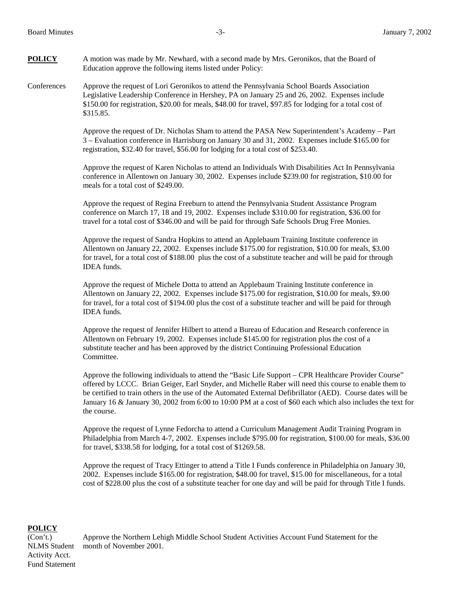**POLICY** A motion was made by Mr. Newhard, with a second made by Mrs. Geronikos, that the Board of Education approve the following items listed under Policy:

Conferences Approve the request of Lori Geronikos to attend the Pennsylvania School Boards Association Legislative Leadership Conference in Hershey, PA on January 25 and 26, 2002. Expenses include \$150.00 for registration, \$20.00 for meals, \$48.00 for travel, \$97.85 for lodging for a total cost of \$315.85.

> Approve the request of Dr. Nicholas Sham to attend the PASA New Superintendent's Academy – Part 3 – Evaluation conference in Harrisburg on January 30 and 31, 2002. Expenses include \$165.00 for registration, \$32.40 for travel, \$56.00 for lodging for a total cost of \$253.40.

> Approve the request of Karen Nicholas to attend an Individuals With Disabilities Act In Pennsylvania conference in Allentown on January 30, 2002. Expenses include \$239.00 for registration, \$10.00 for meals for a total cost of \$249.00.

Approve the request of Regina Freeburn to attend the Pennsylvania Student Assistance Program conference on March 17, 18 and 19, 2002. Expenses include \$310.00 for registration, \$36.00 for travel for a total cost of \$346.00 and will be paid for through Safe Schools Drug Free Monies.

Approve the request of Sandra Hopkins to attend an Applebaum Training Institute conference in Allentown on January 22, 2002. Expenses include \$175.00 for registration, \$10.00 for meals, \$3.00 for travel, for a total cost of \$188.00 plus the cost of a substitute teacher and will be paid for through IDEA funds.

Approve the request of Michele Dotta to attend an Applebaum Training Institute conference in Allentown on January 22, 2002. Expenses include \$175.00 for registration, \$10.00 for meals, \$9.00 for travel, for a total cost of \$194.00 plus the cost of a substitute teacher and will be paid for through IDEA funds.

Approve the request of Jennifer Hilbert to attend a Bureau of Education and Research conference in Allentown on February 19, 2002. Expenses include \$145.00 for registration plus the cost of a substitute teacher and has been approved by the district Continuing Professional Education Committee.

Approve the following individuals to attend the "Basic Life Support – CPR Healthcare Provider Course" offered by LCCC. Brian Geiger, Earl Snyder, and Michelle Raber will need this course to enable them to be certified to train others in the use of the Automated External Defibrillator (AED). Course dates will be January 16 & January 30, 2002 from 6:00 to 10:00 PM at a cost of \$60 each which also includes the text for the course.

Approve the request of Lynne Fedorcha to attend a Curriculum Management Audit Training Program in Philadelphia from March 4-7, 2002. Expenses include \$795.00 for registration, \$100.00 for meals, \$36.00 for travel, \$338.58 for lodging, for a total cost of \$1269.58.

Approve the request of Tracy Ettinger to attend a Title I Funds conference in Philadelphia on January 30, 2002. Expenses include \$165.00 for registration, \$48.00 for travel, \$15.00 for miscellaneous, for a total cost of \$228.00 plus the cost of a substitute teacher for one day and will be paid for through Title I funds.

## **POLICY**

Activity Acct. Fund Statement

(Con't.) Approve the Northern Lehigh Middle School Student Activities Account Fund Statement for the NLMS Student month of November 2001.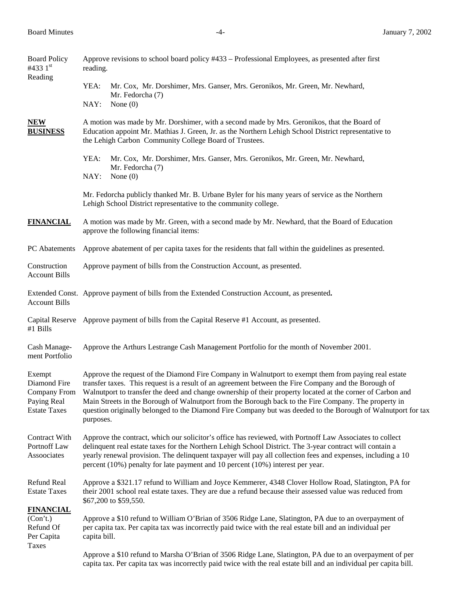| <b>Board Policy</b><br>#433 $1st$                                            | Approve revisions to school board policy #433 – Professional Employees, as presented after first<br>reading.                                                                                                                                                                                                                                                                                                                                                                                                                                                    |                                                                                                                                                                                                                               |  |  |  |
|------------------------------------------------------------------------------|-----------------------------------------------------------------------------------------------------------------------------------------------------------------------------------------------------------------------------------------------------------------------------------------------------------------------------------------------------------------------------------------------------------------------------------------------------------------------------------------------------------------------------------------------------------------|-------------------------------------------------------------------------------------------------------------------------------------------------------------------------------------------------------------------------------|--|--|--|
| Reading                                                                      | YEA:                                                                                                                                                                                                                                                                                                                                                                                                                                                                                                                                                            | Mr. Cox, Mr. Dorshimer, Mrs. Ganser, Mrs. Geronikos, Mr. Green, Mr. Newhard,<br>Mr. Fedorcha (7)                                                                                                                              |  |  |  |
|                                                                              | NAY:                                                                                                                                                                                                                                                                                                                                                                                                                                                                                                                                                            | None $(0)$                                                                                                                                                                                                                    |  |  |  |
| <b>NEW</b><br><b>BUSINESS</b>                                                | A motion was made by Mr. Dorshimer, with a second made by Mrs. Geronikos, that the Board of<br>Education appoint Mr. Mathias J. Green, Jr. as the Northern Lehigh School District representative to<br>the Lehigh Carbon Community College Board of Trustees.                                                                                                                                                                                                                                                                                                   |                                                                                                                                                                                                                               |  |  |  |
|                                                                              | YEA:                                                                                                                                                                                                                                                                                                                                                                                                                                                                                                                                                            | Mr. Cox, Mr. Dorshimer, Mrs. Ganser, Mrs. Geronikos, Mr. Green, Mr. Newhard,<br>Mr. Fedorcha (7)                                                                                                                              |  |  |  |
|                                                                              |                                                                                                                                                                                                                                                                                                                                                                                                                                                                                                                                                                 | NAY:<br>None $(0)$                                                                                                                                                                                                            |  |  |  |
|                                                                              |                                                                                                                                                                                                                                                                                                                                                                                                                                                                                                                                                                 | Mr. Fedorcha publicly thanked Mr. B. Urbane Byler for his many years of service as the Northern<br>Lehigh School District representative to the community college.                                                            |  |  |  |
| <b>FINANCIAL</b>                                                             | A motion was made by Mr. Green, with a second made by Mr. Newhard, that the Board of Education<br>approve the following financial items:                                                                                                                                                                                                                                                                                                                                                                                                                        |                                                                                                                                                                                                                               |  |  |  |
| PC Abatements                                                                | Approve abatement of per capita taxes for the residents that fall within the guidelines as presented.                                                                                                                                                                                                                                                                                                                                                                                                                                                           |                                                                                                                                                                                                                               |  |  |  |
| Construction<br><b>Account Bills</b>                                         | Approve payment of bills from the Construction Account, as presented.                                                                                                                                                                                                                                                                                                                                                                                                                                                                                           |                                                                                                                                                                                                                               |  |  |  |
| <b>Account Bills</b>                                                         | Extended Const. Approve payment of bills from the Extended Construction Account, as presented.                                                                                                                                                                                                                                                                                                                                                                                                                                                                  |                                                                                                                                                                                                                               |  |  |  |
| #1 Bills                                                                     | Capital Reserve Approve payment of bills from the Capital Reserve #1 Account, as presented.                                                                                                                                                                                                                                                                                                                                                                                                                                                                     |                                                                                                                                                                                                                               |  |  |  |
| Cash Manage-<br>ment Portfolio                                               | Approve the Arthurs Lestrange Cash Management Portfolio for the month of November 2001.                                                                                                                                                                                                                                                                                                                                                                                                                                                                         |                                                                                                                                                                                                                               |  |  |  |
| Exempt<br>Diamond Fire<br>Company From<br>Paying Real<br><b>Estate Taxes</b> | Approve the request of the Diamond Fire Company in Walnutport to exempt them from paying real estate<br>transfer taxes. This request is a result of an agreement between the Fire Company and the Borough of<br>Walnutport to transfer the deed and change ownership of their property located at the corner of Carbon and<br>Main Streets in the Borough of Walnutport from the Borough back to the Fire Company. The property in<br>question originally belonged to the Diamond Fire Company but was deeded to the Borough of Walnutport for tax<br>purposes. |                                                                                                                                                                                                                               |  |  |  |
| Contract With<br>Portnoff Law<br>Assoociates                                 | Approve the contract, which our solicitor's office has reviewed, with Portnoff Law Associates to collect<br>delinquent real estate taxes for the Northern Lehigh School District. The 3-year contract will contain a<br>yearly renewal provision. The delinquent taxpayer will pay all collection fees and expenses, including a 10<br>percent (10%) penalty for late payment and 10 percent (10%) interest per year.                                                                                                                                           |                                                                                                                                                                                                                               |  |  |  |
| <b>Refund Real</b><br><b>Estate Taxes</b>                                    | Approve a \$321.17 refund to William and Joyce Kemmerer, 4348 Clover Hollow Road, Slatington, PA for<br>their 2001 school real estate taxes. They are due a refund because their assessed value was reduced from<br>\$67,200 to \$59,550.                                                                                                                                                                                                                                                                                                                       |                                                                                                                                                                                                                               |  |  |  |
| <b>FINANCIAL</b><br>(Con't.)<br>Refund Of<br>Per Capita                      | Approve a \$10 refund to William O'Brian of 3506 Ridge Lane, Slatington, PA due to an overpayment of<br>per capita tax. Per capita tax was incorrectly paid twice with the real estate bill and an individual per<br>capita bill.                                                                                                                                                                                                                                                                                                                               |                                                                                                                                                                                                                               |  |  |  |
| Taxes                                                                        |                                                                                                                                                                                                                                                                                                                                                                                                                                                                                                                                                                 | Approve a \$10 refund to Marsha O'Brian of 3506 Ridge Lane, Slatington, PA due to an overpayment of per<br>capita tax. Per capita tax was incorrectly paid twice with the real estate bill and an individual per capita bill. |  |  |  |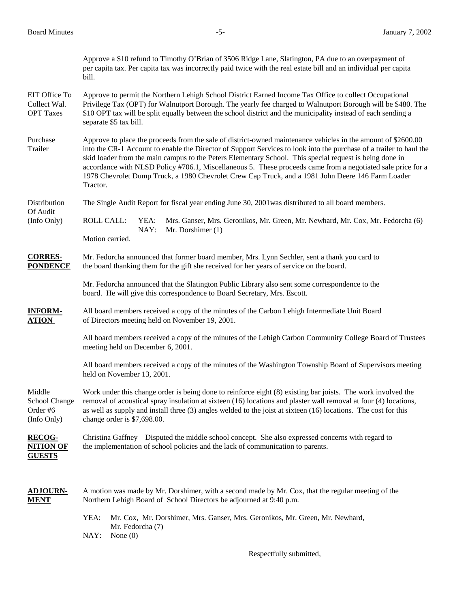|                                                    | Approve a \$10 refund to Timothy O'Brian of 3506 Ridge Lane, Slatington, PA due to an overpayment of<br>per capita tax. Per capita tax was incorrectly paid twice with the real estate bill and an individual per capita<br>bill.                                                                                                                                                                                                                                                                                                                                               |  |  |  |  |
|----------------------------------------------------|---------------------------------------------------------------------------------------------------------------------------------------------------------------------------------------------------------------------------------------------------------------------------------------------------------------------------------------------------------------------------------------------------------------------------------------------------------------------------------------------------------------------------------------------------------------------------------|--|--|--|--|
| EIT Office To<br>Collect Wal.<br><b>OPT</b> Taxes  | Approve to permit the Northern Lehigh School District Earned Income Tax Office to collect Occupational<br>Privilege Tax (OPT) for Walnutport Borough. The yearly fee charged to Walnutport Borough will be \$480. The<br>\$10 OPT tax will be split equally between the school district and the municipality instead of each sending a<br>separate \$5 tax bill.                                                                                                                                                                                                                |  |  |  |  |
| Purchase<br>Trailer                                | Approve to place the proceeds from the sale of district-owned maintenance vehicles in the amount of \$2600.00<br>into the CR-1 Account to enable the Director of Support Services to look into the purchase of a trailer to haul the<br>skid loader from the main campus to the Peters Elementary School. This special request is being done in<br>accordance with NLSD Policy #706.1, Miscellaneous 5. These proceeds came from a negotiated sale price for a<br>1978 Chevrolet Dump Truck, a 1980 Chevrolet Crew Cap Truck, and a 1981 John Deere 146 Farm Loader<br>Tractor. |  |  |  |  |
| Distribution                                       | The Single Audit Report for fiscal year ending June 30, 2001 was distributed to all board members.                                                                                                                                                                                                                                                                                                                                                                                                                                                                              |  |  |  |  |
| Of Audit<br>(Info Only)                            | <b>ROLL CALL:</b><br>YEA:<br>Mrs. Ganser, Mrs. Geronikos, Mr. Green, Mr. Newhard, Mr. Cox, Mr. Fedorcha (6)<br>NAY:<br>Mr. Dorshimer (1)<br>Motion carried.                                                                                                                                                                                                                                                                                                                                                                                                                     |  |  |  |  |
| <b>CORRES-</b><br><b>PONDENCE</b>                  | Mr. Fedorcha announced that former board member, Mrs. Lynn Sechler, sent a thank you card to<br>the board thanking them for the gift she received for her years of service on the board.                                                                                                                                                                                                                                                                                                                                                                                        |  |  |  |  |
|                                                    | Mr. Fedorcha announced that the Slatington Public Library also sent some correspondence to the<br>board. He will give this correspondence to Board Secretary, Mrs. Escott.                                                                                                                                                                                                                                                                                                                                                                                                      |  |  |  |  |
| <b>INFORM-</b><br><b>ATION</b>                     | All board members received a copy of the minutes of the Carbon Lehigh Intermediate Unit Board<br>of Directors meeting held on November 19, 2001.                                                                                                                                                                                                                                                                                                                                                                                                                                |  |  |  |  |
|                                                    | All board members received a copy of the minutes of the Lehigh Carbon Community College Board of Trustees<br>meeting held on December 6, 2001.                                                                                                                                                                                                                                                                                                                                                                                                                                  |  |  |  |  |
|                                                    | All board members received a copy of the minutes of the Washington Township Board of Supervisors meeting<br>held on November 13, 2001.                                                                                                                                                                                                                                                                                                                                                                                                                                          |  |  |  |  |
| Middle<br>School Change<br>Order #6<br>(Info Only) | Work under this change order is being done to reinforce eight (8) existing bar joists. The work involved the<br>removal of acoustical spray insulation at sixteen (16) locations and plaster wall removal at four (4) locations,<br>as well as supply and install three $(3)$ angles welded to the joist at sixteen $(16)$ locations. The cost for this<br>change order is \$7,698.00.                                                                                                                                                                                          |  |  |  |  |
| <b>RECOG-</b><br><b>NITION OF</b><br><b>GUESTS</b> | Christina Gaffney - Disputed the middle school concept. She also expressed concerns with regard to<br>the implementation of school policies and the lack of communication to parents.                                                                                                                                                                                                                                                                                                                                                                                           |  |  |  |  |
| <b>ADJOURN-</b><br><b>MENT</b>                     | A motion was made by Mr. Dorshimer, with a second made by Mr. Cox, that the regular meeting of the<br>Northern Lehigh Board of School Directors be adjourned at 9:40 p.m.                                                                                                                                                                                                                                                                                                                                                                                                       |  |  |  |  |
|                                                    | Mr. Cox, Mr. Dorshimer, Mrs. Ganser, Mrs. Geronikos, Mr. Green, Mr. Newhard,<br>YEA:<br>Mr. Fedorcha (7)<br>NAY:<br>None $(0)$                                                                                                                                                                                                                                                                                                                                                                                                                                                  |  |  |  |  |

Respectfully submitted,